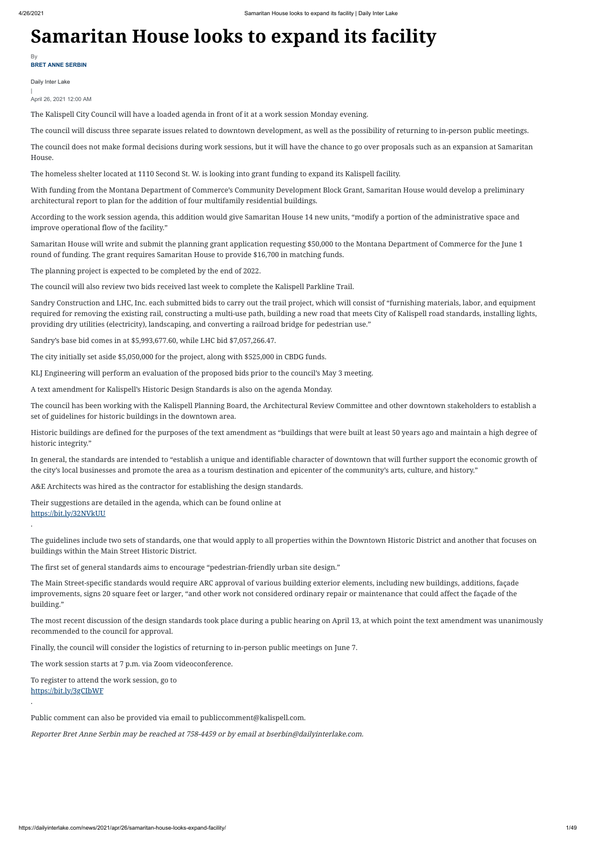## **Samaritan House looks to expand its facility**

Daily Inter Lake

| April 26, 2021 12:00 AM

The Kalispell City Council will have a loaded agenda in front of it at a work session Monday evening.

The council will discuss three separate issues related to downtown development, as well as the possibility of returning to in-person public meetings.

The council does not make formal decisions during work sessions, but it will have the chance to go over proposals such as an expansion at Samaritan House.

The homeless shelter located at 1110 Second St. W. is looking into grant funding to expand its Kalispell facility.

With funding from the Montana Department of Commerce's Community Development Block Grant, Samaritan House would develop a preliminary architectural report to plan for the addition of four multifamily residential buildings.

According to the work session agenda, this addition would give Samaritan House 14 new units, "modify a portion of the administrative space and improve operational flow of the facility."

Samaritan House will write and submit the planning grant application requesting \$50,000 to the Montana Department of Commerce for the June 1 round of funding. The grant requires Samaritan House to provide \$16,700 in matching funds.

The planning project is expected to be completed by the end of 2022.

The council will also review two bids received last week to complete the Kalispell Parkline Trail.

Sandry Construction and LHC, Inc. each submitted bids to carry out the trail project, which will consist of "furnishing materials, labor, and equipment required for removing the existing rail, constructing a multi-use path, building a new road that meets City of Kalispell road standards, installing lights, providing dry utilities (electricity), landscaping, and converting a railroad bridge for pedestrian use."

Sandry's base bid comes in at \$5,993,677.60, while LHC bid \$7,057,266.47.

The city initially set aside \$5,050,000 for the project, along with \$525,000 in CBDG funds.

KLJ Engineering will perform an evaluation of the proposed bids prior to the council's May 3 meeting.

**BRET ANNE SERBIN** By

A text amendment for Kalispell's Historic Design Standards is also on the agenda Monday.

The council has been working with the Kalispell Planning Board, the Architectural Review Committee and other downtown stakeholders to establish a set of guidelines for historic buildings in the downtown area.

Historic buildings are defined for the purposes of the text amendment as "buildings that were built at least 50 years ago and maintain a high degree of historic integrity."

In general, the standards are intended to "establish a unique and identifiable character of downtown that will further support the economic growth of the city's local businesses and promote the area as a tourism destination and epicenter of the community's arts, culture, and history."

A&E Architects was hired as the contractor for establishing the design standards.

Their suggestions are detailed in the agenda, which can be found online at [https://bit.ly/32NVkUU](https://www.kalispell.com/AgendaCenter/ViewFile/Agenda/_04262021-610)

.

The guidelines include two sets of standards, one that would apply to all properties within the Downtown Historic District and another that focuses on buildings within the Main Street Historic District.

The first set of general standards aims to encourage "pedestrian-friendly urban site design."

The Main Street-specific standards would require ARC approval of various building exterior elements, including new buildings, additions, façade improvements, signs 20 square feet or larger, "and other work not considered ordinary repair or maintenance that could affect the façade of the building."

The most recent discussion of the design standards took place during a public hearing on April 13, at which point the text amendment was unanimously recommended to the council for approval.

Finally, the council will consider the logistics of returning to in-person public meetings on June 7.

The work session starts at 7 p.m. via Zoom videoconference.

To register to attend the work session, go to [https://bit.ly/3gCIbWF](https://us02web.zoom.us/webinar/register/WN_IYWULTRXQPKGevb93IAp3Q)

.

Public comment can also be provided via email to publiccomment@kalispell.com.

Reporter Bret Anne Serbin may be reached at 758-4459 or by email at bserbin@dailyinterlake.com.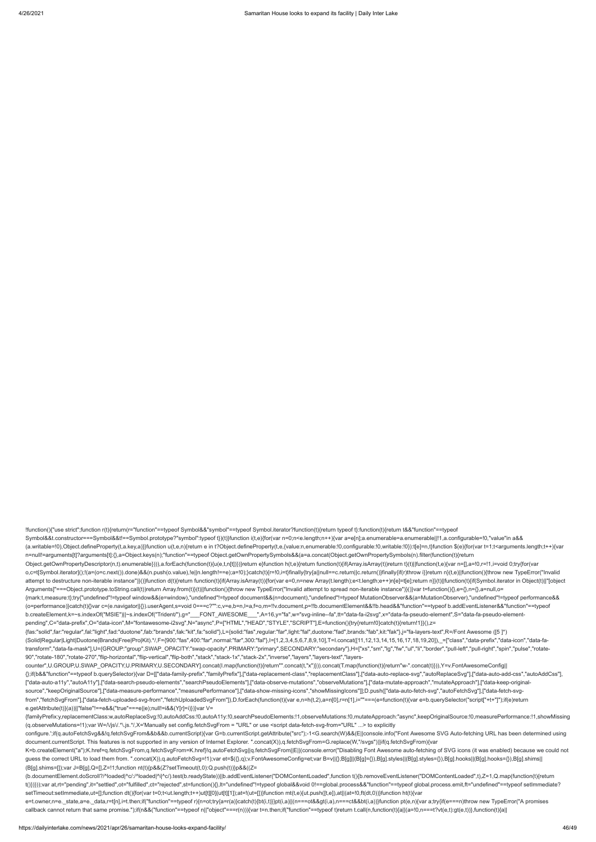!function(){"use strict";function r(t){return(r="function"==typeof Symbol&&"symbol"==typeof Symbol.iterator?function(t){return typeof t}:function(t){return t&&"function"==typeof

(a.writable=!0),Object.defineProperty(t,a.key,a)}}function u(t,e,n){return e in t?Object.defineProperty(t,e,{value:n,enumerable:!0,configurable:!0,writable:!0}):t[e]=n,t}function \$(e){for(var t=1;t<arguments.length;t++){var n=null!=arguments[t]?arguments[t]:{},a=Object.keys(n);"function"==typeof Object.getOwnPropertySymbols&&(a=a.concat(Object.getOwnPropertySymbols(n).filter(function(t){return Object.getOwnPropertyDescriptor(n,t).enumerable}))),a.forEach(function(t){u(e,t,n[t])})}return e}function h(t,e){return function(t){if(Array.isArray(t))return t}(t)||function(t,e){var n=[],a=!0,r=!1,i=void 0;try{for(var o,c=t[Symbol.iterator]();!(a=(o=c.next()).done)&&(n.push(o.value),!e||n.length!==e);a=!0);}catch(t){r=!0,i=t}finally{try{a||null==c.return||c.return()}finally{if(r)throw i}}return n}(t,e)||function(){throw new TypeError("I attempt to destructure non-iterable instance")}()}function d(t){return function(t){if(Array.isArray(t)}{for(var e=0,n=new Array(t.length);e<t.length;e++)n[e]=t[e];return n}}(t)|[function(t){if(Symbol.iterator in Object(t)| Arguments]"===Object.prototype.toString.call(t))return Array.from(t)}(t)||function(){throw new TypeError("Invalid attempt to spread non-iterable instance")}()}var t=function(){},e={},n={},a=null,o= {mark:t,measure:t};try{"undefined"!=typeof window&&(e=window),"undefined"!=typeof document&&(n=document),"undefined"!=typeof MutationObserver&&(a=MutationObserver),"undefined"!=typeof performance&& (o=performance)}catch(t){}var c=(e.navigator||{}).userAgent,s=void 0===c?"":c,v=e,b=n,l=a,f=o,m=!!v.document,p=!!b.documentElement&&!!b.head&&"function"==typeof b.addEventListener&&"function"==typeof b.createElement,k=~s.indexOf("MSIE")||~s.indexOf("Trident/"),g="\_\_\_FONT\_AWESOME\_\_\_",A=16,y="fa",w="svg-inline--fa",tt="data-fa-i2svg",x="data-fa-pseudo-element",S="data-fa-pseudo-elementpending",C="data-prefix",O="data-icon",M="fontawesome-i2svg",N="async",P=["HTML","HEAD","STYLE","SCRIPT"],E=function(){try{return!0}catch(t){return!1}}(),z=

configure.';if(q.autoFetchSvg&&!q.fetchSvgFrom&&b&&b.currentScript){var G=b.currentScript.getAttribute("src");-1<G.search(W)&&(E||console.info("Font Awesome SVG Auto-fetching URL has been determined using document.currentScript. This features is not supported in any version of Internet Explorer. ".concat(X)),q.fetchSvgFrom=G.replace(W,"/svgs"))}if(q.fetchSvgFrom){var

{fas:"solid",far:"regular",fal:"light",fad:"duotone",fab:"brands",fak:"kit",fa:"solid"},L={solid:"fas",regular:"far",light:"fal",duotone:"fad",brands:"fab",kit:"fak"},j="fa-layers-text",R=/Font Awesome ([5 ]\*)

Symbol&&t.constructor===Symbol&&t!==Symbol.prototype?"symbol":typeof t})(t)}function i(t,e){for(var n=0;n<e.length;n++){var a=e[n];a.enumerable=a.enumerable|!1,a.configurable=!0,"value"in a&&

K=b.createElement("a");K.href=q.fetchSvgFrom,q.fetchSvgFrom=K.href}!q.autoFetchSvg||q.fetchSvgFrom||E||(console.error("Disabling Font Awesome auto-fetching of SVG icons (it was enabled) because we could not guess the correct URL to load them from. ".concat(X)),q.autoFetchSvg=!1);var et=\$({},q);v.FontAwesomeConfig=et;var B=v||{};B[g]||(B[g]={}),B[g].styles||(B[g].styles={}),B[g].hooks||(B[g].hooks||(B[g].hooks={}),B[g].shims|| (B[g].shims=[]);var J=B[g],Q=[],Z=!1;function nt(t){p&&(Z?setTimeout(t,0):Q.push(t))}p&&((Z=

(b.documentElement.doScroll?/^loaded|^c/:/^loaded|^i|^c/).test(b.readyState))||b.addEventListener("DOMContentLoaded",function t(){b.removeEventListener("DOMContentLoaded",t),Z=1,Q.map(function(t){return t()})}));var at,rt="pending",it="settled",ot="fulfilled",ct="rejected",st=function(){},lt="undefined"!=typeof global&&void 0!==global.process&&"function"==typeof global.process.emit,ft="undefined"==typeof setImmediate? setTimeout:setImmediate,ut=[];function dt(){for(var t=0;t<ut.length;t++)ut[t][0](ut[t][1]);at=!(ut=[])}function mt(t,e){ut.push([t,e]),at||(at=!0,ft(dt,0))}function ht(t){var

e=t.owner,n=e.\_state,a=e.\_data,r=t[n],i=t.then;if("function"==typeof r){n=ot;try{a=r(a)}catch(t){bt(i,t)}}pt(i,a)||(n===ot&&pt(i,a),n===ct&&bt(i,a))}function pt(e,n){var a;try{if(e===n)throw new TypeError("A promises callback cannot return that same promise.");if(n&&("function"==typeof n||"object"===r(n))){var t=n.then;if("function"==typeof t)return t.call(n,function(t){a||(a=!0,n===t?vt(e,t);qt(e,t))},function(t){a||

(Solid|Regular|Light|Duotone|Brands|Free|Pro|Kit).\*/,F={900:"fas",400:"far",normal:"far",300:"fal"},I=[1,2,3,4,5,6,7,8,9,10],T=I.concat([11,12,13,14,15,16,17,18,19,20]),\_=["class","data-prefix","data-icon","data-fatransform","data-fa-mask"],U={GROUP:"group",SWAP\_OPACITY:"swap-opacity",PRIMARY:"primary",SECONDARY:"secondary"},H=["xs","sm","lg","fw","ul","li","border","pull-left","pull-right","spin","pulse","rotate-90","rotate-180","rotate-270","flip-horizontal","flip-vertical","flip-both","stack","stack-1x","stack-2x","inverse","layers","layers-text","layers-

counter",U.GROUP,U.SWAP\_OPACITY,U.PRIMARY,U.SECONDARY].concat(I.map(function(t){return"".concat(t,"x")})).concat(T.map(function(t){return"w-".concat(t)})),Y=v.FontAwesomeConfig|| {};if(b&&"function"==typeof b.querySelector){var D=[["data-family-prefix","familyPrefix"],["data-replacement-class","replacementClass"],["data-auto-replace-svg","autoReplaceSvg"],["data-auto-add-css","autoAddCss"], ["data-auto-a11y","autoA11y"],["data-search-pseudo-elements","searchPseudoElements"],["data-observe-mutations","observeMutations"],["data-mutate-approach","mutateApproach"],["data-keep-originalsource","keepOriginalSource"],["data-measure-performance","measurePerformance"],["data-show-missing-icons","showMissingIcons"]];D.push(["data-auto-fetch-svg","autoFetchSvg"],["data-fetch-svgfrom","fetchSvgFrom"],["data-fetch-uploaded-svg-from","fetchUploadedSvgFrom"]),D.forEach(function(t){var e,n=h(t,2),a=n[0],r=n[1],i=""===(e=function(t){var e=b.querySelector("script["+t+"]");if(e)return e.getAttribute(t)}(a))||"false"!==e&&("true"===e||e);null!=i&&(Y[r]=i)})}var V=

{familyPrefix:y,replacementClass:w,autoReplaceSvg:!0,autoAddCss:!0,autoA11y:!0,searchPseudoElements:!1,observeMutations:!0,mutateApproach:"async",keepOriginalSource:!0,measurePerformance:!1,showMissing (q.observeMutations=!1);var W=/\/js\/.\*\.js.\*/,X='Manually set config.fetchSvgFrom = "URL" or use <script data-fetch-svg-from="URL" ...> to explicitly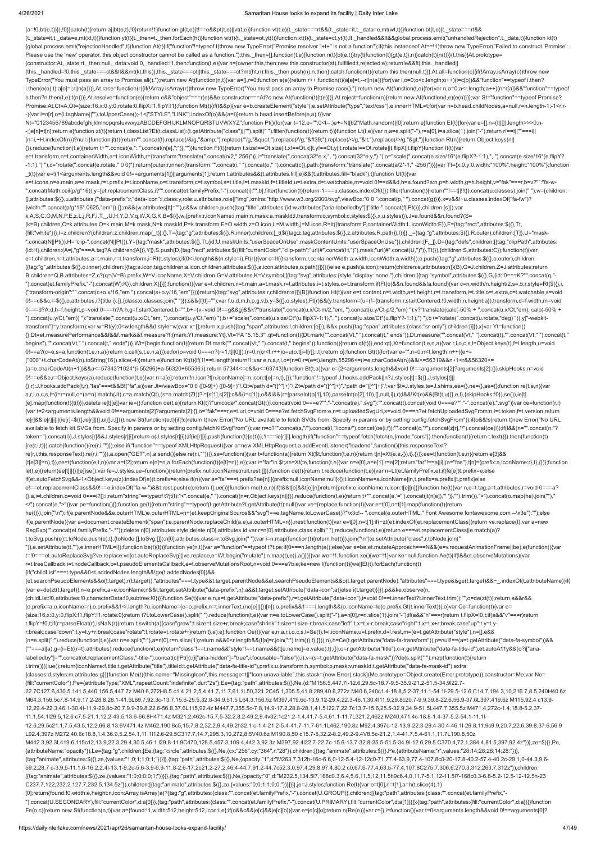## 4/26/2021 Samaritan House looks to expand its facility | Daily Inter Lake

(a=!0,bt(e,t))}),!0}}catch(t){return a||bt(e,t),!0}return!1}function gt(t,e){t!==e&&pt(t,e)||vt(t,e)}function vt(t,e){t.\_state===rt&&(t.\_state=it,t.\_data=e,mt(wt,t))}function bt(t,e){t.\_state===rt&& (t.\_state=it,t.\_data=e,mt(xt,t))}function yt(t){t.\_then=t.\_then.forEach(ht)}function wt(t){t.\_state=ot,yt(t)}function xt(t){t.\_state=ct,yt(t)}function xt(t){t.\_state=ct,yt(t)}function xt(t){t.\_state=ct,yt(t)}function xt(t) {global.process.emit("rejectionHandled",t)}function At(t){if("function"!=typeof t)throw new TypeError("Promise resolver "+t+" is not a function");if(this instanceof At==!1)throw new TypeError("Failed to construct 'Promise': Please use the 'new' operator, this object constructor cannot be called as a function.");this.\_then=[],function(t,e){function n(t){bt(e,t)}try{t(function(t){gt(e,t)},n)}catch(t){n(t)}}(t,this)}At.prototype= {constructor:At,\_state:rt,\_then:null,\_data:void 0,\_handled:!1,then:function(t,e){var n={owner:this,then:new this.constructor(st),fulfilled:t,rejected:e};return!e&&!t||this.\_handled|| (this.\_handled=!0,this.\_state===ct&&lt&&mt(kt,this)),this.\_state===ot||this.\_state===ct?mt(ht,n):this.\_then.push(n),n.then},catch:function(t){return this.then(null,t)}},At.all=function(c){if(!Array.isArray(c))throw new TypeError("You must pass an array to Promise.all().");return new At(function(n,t){var a=[],r=0;function e(e){return r++,function(t){a[e]=t,--r||n(a)}}for(var i,o=0;o<c.length;o++)(i=c[o])&&"function"==typeof i.then? i.then(e(o),t):a[o]=i;r||n(a)})},At.race=function(r){if(!Array.isArray(r))throw new TypeError("You must pass an array to Promise.race().");return new At(function(t,e){for(var n,a=0;a<r.length;a++)(n=r[a])&&"function"==type n.then?n.then(t,e):t(n)})},At.resolve=function(e){return e&&"object"===r(e)&&e.constructor===At?e:new At(function(t){t(e)})},At.reject=function(n){return new At(function(t,e){e(n)})};var St="function"==typeof Promise? Promise:At,Ct=A,Ot={size:16,x:0,y:0,rotate:0,flipX:!1,flipY:!1};function Mt(t){if(t&&p){var e=b.createElement("style");e.setAttribute("type","text/css"),e.innerHTML=t;for(var n=b.head.childNodes,a=null,r=n.length-1;-1<r;r- -){var i=n[r],o=(i.tagName||"").toUpperCase();-1<["STYLE","LINK"].indexOf(o)&&(a=i)}return b.head.insertBefore(e,a),t}}var Nt="0123456789abcdefghijklmnopqrstuvwxyzABCDEFGHIJKLMNOPQRSTUVWXYZ";function Pt(){for(var t=12,e="";0<t--;)e+=Nt[62\*Math.random()|0];return e}function Et(t){for(var e=[],n=(t||[]).length>>>0;n- -;)e[n]=t[n];return e}function zt(t){return t.classList?Et(t.classList):(t.getAttribute("class")||"").split(" ").filter(function(t){return t)}}function Lt(t,e){var n,a=e.split("-"),r=a[0],i=a.slice(1).join("-");return r!== (n=i,~H.indexOf(n))?null:i}function jt(t){return"".concat(t).replace(/&/g,"&").replace(/"/g,""").replace(/'/g,"'").replace(/</g,"&lt;").replace(/>/g,"&gt;")}function Rt(n){return Object.keys(n|| {}).reduce(function(t,e){return t+"".concat(e,": ").concat(n[e],";")},"")}function Ft(t){return t.size!==Ot.size||t.x!==Ot.x||t.y!==Ot.y||t.rotate!==Ot.rotate||t.flipX||t.flipY}function It(t){var e=t.transform,n=t.containerWidth,a=t.iconWidth,r={transform:"translate(".concat(n/2," 256)")},i="translate(".concat(32\*e.x,", ").concat(32\*e.y,") "),o="scale(".concat(e.size/16\*(e.flipX?-1:1),", ").concat(e.size/16\*(e.flipY? -1:1),") "),c="rotate(".concat(e.rotate," 0 0)");return{outer:r,inner:{transform:"".concat(i," ").concat(o," ").concat(c)},path:{transform:"translate(".concat(a/2\*-1," -256)"}}}}var Tt={x:0,y:0,width:"100%",height:"100%"}; \_t(t){var e=!(1<arguments.length&&void 0!==arguments[1])||arguments[1];return t.attributes&&(t.attributes.fill||e)&&(t.attributes.fill="black"),t}function Ut(t){var e=t.icons,n=e.main,a=e.mask,r=t.prefix,i=t.iconName,o=t.transform,c=t.symbol,s=t.title,l=t.maskId,f=t.titleId,u=t.extra,d=t.watchable,m=void 0!==d&&d,h=a.found?a:n,p=h.width,g=h.height,v="fak"===r,b=v?"":"fa-w- ".concat(Math.ceil(p/g\*16)),y=[et.replacementClass,i?"".concat(et.familyPrefix,"-").concat(i):"",b].filter(function(t){return-1===u.classes.indexOf(t)}).filter(function(t){return"!==t|!!!!}).concat(u.classes).join(""),w={c [],attributes:\$({},u.attributes,{"data-prefix":r,"data-icon":i,class:y,role:u.attributes.role||"img",xmlns:"http://www.w3.org/2000/svg",viewBox:"0 0 ".concat(p," ").concat(g)})},x=v&&!~u.classes.indexOf("fa-fw")? {width:"".concat(p/g\*16\*.0625,"em")}:{};m&&(w.attributes[tt]=""),s&&w.children.push({tag:"title",attributes:{id:w.attributes["aria-labelledby"]||"title-".concat(f||Pt())},children:[s]});var k,A,S,C,O,M,N,P,E,z,L,j,R,F,I,T,\_,U,H,Y,D,V,q,W,X,G,K,B=\$({},w,{prefix:r,iconName:i,main:n,mask:a,maskId:l,transform:o,symbol:c,styles:\$({},x,u.styles)}),J=a.found&&n.found?(S= (k=B).children,C=k.attributes,O=k.main,M=k.mask,N=k.maskId,P=k.transform,E=O.width,z=O.icon,L=M.width,j=M.icon,R=It({transform:P,containerWidth:L,iconWidth:E}),F={tag:"rect",attributes:\$({},Tt, {fill:"white"})},l=z.children?{children:z.children.map(\_t)}:{},T={tag:"g",attributes:\$({},R.inner),children:[\_t(\$({tag:z.tag,attributes:\$({},R.attributes:\$({},R.attributes:\$({},attributes:\$({},R.attributes:\$({},R.outer),ch ".concat(N||Pt()),H="clip-".concat(N||Pt()),Y={tag:"mask",attributes:\$({},Tt,{id:U,maskUnits:"userSpaceOnUse",maskContentUnits:"userSpaceOnUse"}),children:[F,\_]},D={tag:"defs",children:[{tag:"clipPath",attributes: {id:H},children:(A=j,"g"===A.tag?A.children:[A])},Y]},S.push(D,{tag:"rect",attributes:\$({fill:"currentColor","clip-path":"url(#".concat(H,")"),mask:"url(#".concat(U,")")},Tt)}),{children:S,attributes:C}):function(t){var e=t.children,n=t.attributes,a=t.main,r=t.transform,i=Rt(t.styles);if(0<i.length&&(n.style=i),Ft(r)){var o=It({transform:r,containerWidth:a.width,iconWidth:a.width});e.push({tag:"g",attributes:\$({},o.outer),children: [{tag:"g",attributes:\$({},o.inner),children:[{tag:a.icon.tag,children:a.icon.children,attributes:\$({},a.icon.attributes,o.path)}]}]})}else e.push(a.icon);return{children:e,attributes:n}}(B),Q=J.children,Z=J.attributes;return B.children=Q,B.attributes=Z,c?(q=(V=B).prefix,W=V.iconName,X=V.children,G=V.attributes,K=V.symbol,[{tag:"svg",attributes:{style:"display: none;"},children:[{tag:"symbol",attributes:\$({},G,{id:!0===K?"".concat(q,"- ").concat(et.familyPrefix,"-").concat(W):K}),children:X}]}]):function(t){var e=t.children,n=t.main,a=t.mask,r=t.attributes,i=t.styles,o=t.transform;if(Ft(o)&&n.found&&!a.found){var c=n.width/n.height/2,s=.5;r.style=Rt(\${{} {"transform-origin":"".concat(c+o.x/16,"em ").concat(s+o.y/16,"em")}))}return[{tag:"svg",attributes:r,children:e}]}(B)}function Ht(t){var e=t.content,n=t.width,a=t.height,r=t.transform,i=t.title,o=t.extra,c=t.watchable,s=v 0!==c&&c,l=\$({},o.attributes,i?{title:i}:{},{class:o.classes.join(" ")});s&&(l[tt]="");var f,u,d,m,h,p,g,v,b,y=\$({},o.styles);Ft(r)&&(y.transform=(u=(f={transform:r,startCentered:!0,width:n,height:a}).transform,d=f.width,m 0===d?A:d,h=f.height,p=void 0===h?A:h,g=f.startCentered,b="",b+=(v=void 0!==g&&g)&&k?"translate(".concat(u.x/Ct-m/2,"em, ").concat(u.y/Ct-p/2,"em) "):v?"translate(calc(-50% + ".concat(u.x/Ct,"em), calc(-50% + ").concat(u.y/Ct,"em)) "):"translate(".concat(u.x/Ct,"em, ").concat(u.y/Ct,"em) "),b+="scale(".concat(u.size/Ct\*(u.flipX?-1:1),", ").concat(u.size/Ct\*(u.flipY?-1:1),") "),b+="rotate(".concat(u.rotate,"deg) ")),y["-webkittransform"]=y.transform);var w=Rt(y);0<w.length&&(l.style=w);var x=[];return x.push({tag:"span",attributes:l,children:[e]}),i&&x.push({tag:"span",attributes:{class:"sr-only"},children:[i]}),x}var Yt=function() {},Dt=et.measurePerformance&&f&&f.mark&&f.measure?f:{mark:Yt,measure:Yt},Vt='FA "5.15.3"',qt=function(t){Dt.mark("".concat(Vt," ").concat(t," ends")),Dt.measure("".concat(Vt," ").concat(t),"".concat(Vt," ").concat(t," begins"),"".concat(Vt," ").concat(t," ends"))},Wt={begin:function(t){return Dt.mark("".concat(Vt," ").concat(t," begins")),function(){return qt(t)}},end:qt},Xt=function(t,e,n,a){var r,i,o,c,s,l=Object.keys(t),f=l.length,u= 0!==a?(c=e,s=a,function(t,e,n,a){return c.call(s,t,e,n,a)}):e;for(o=void 0===n?(r=1,t[l[0]]):(r=0,n);r<f;r++)o=u(o,t[i=l[r]],i,t);return o};function Gt(t){for(var e="",n=0;n<t.length;n++){e+= ("000"+t.charCodeAt(n).toString(16)).slice(-4)}return e}function Kt(t){if(1!==t.length)return!1;var e,n,a,r,i,o=(n=0,r=(e=t).length,55296<=(i=e.charCodeAt(n))&&i<=56319&&n+1<r&&56320<= (a=e.charCodeAt(n+1))&&a<=57343?1024\*(i-55296)+a-56320+65536:i);return 57344<=o&&o<=63743}function Bt(t,a){var e=(2<arguments.length&&void 0!==arguments[2]?arguments[2]:{}).skipHooks,n=void 0!==e&&e,r=Object.keys(a).reduce(function(t,e){var n=a[e];return!!n.icon?t[n.iconName]=n.icon:t[e]=n,t},{});"function"!=typeof J.hooks.addPack||n?J.styles[t]=\$({},J.styles[t]||  $\{1, r\}$ ).hooks.addPack(t,r),"fas"===t&&Bt("fa",a)}var Jt=/viewBox="0 0 ([0-9]+)"(,Qt=/path d="([^"]+)"/,Zt=/path d="([^"]+)".\*path d="([^"]+)"/;var \$t=J.styles,te=J.shims,ee={},ne={},ae={};function re(t,e,n){var (f(e,n) a,r,i,o,c,s,l=(i=r=null,o=(a=n).match(Jt),c=a.match(Qt),(s=a.match(Zt))?i=[s[1],s[2]]:c&&(i=c[1]),o&&i&&(r=[parseInt(o[1],10),parseInt(o[2],10),[],null,i]),r);l&&!Kt(e)&&(Bt(t,u({},e,l),{skipHooks:!0}),se()),ie[t] [e].map(function(t){t(l)}),delete ie[t][e]}var ie={};function oe(t,e){return Kt(t)?"unicode/".concat(Gt(t)).concat(void 0===e?"":"-".concat(e),".svg"):"".concat(t).concat(toid 0===e?"":"-".concat(oid 0===e?"":"-".concat(e) {var t=2<arguments.length&&void 0!==arguments[2]?arguments[2]:{},o="fak"===r,e=t.url,c=void 0===e?et.fetchSvgFrom:e,n=t.uploadedSvgUrl,s=void 0===n?et.fetchUploadedSvgFrom:n,l=t.token,f=t.version;return ie[r]&&ie[r][i]]|(ie[r]=\$({},ie[r]||{},u({},i,[]))),new St(function(e,t){if(!c)return t(new Error("No URL available to fetch SVGs from. Specify in params or by setting config.fetchSvgFrom"));if(o&&!s)return t(new Error("No available to fetch kit SVGs from. Specify in params or by setting config.fetchKitSvgFrom"));var n=o?"".concat(s,"/").concat(l,"/icons/").concat(oe(i,f)):"".concat(oe(")"".concat(z[r],"/").concat(oe(i));if(l&&(n="".concat(n token=").concat(l)),J.styles[r]&&J.styles[r][i])return e(J.styles[r][i]);if(ie[r][i].push(function(t){e(t)}),1===ie[r][i].length)if("function"==typeof fetch)fetch(n,{mode:"cors"}).then(function(t){return t.text()}).then(fu {re(r,i,t)}).catch(function(){re(r,i,"")});else if("function"==typeof XMLHttpRequest){var a=new XMLHttpRequest;a.addEventListener("loadend",function(){this.responseText? re(r,i,this.responseText):re(r,i,"")}),a.open("GET",n),a.send()}else re(r,i,"")})},se=function(){var t=function(a){return Xt(\$t,function(t,e,n){return t[n]=Xt(e,a,{}),t},{})};ee=t(function(t,e,n){return e[3]&& (t[e[3]]=n),t}),ne=t(function(e,t,n){var a=t[2];return e[n]=n,a.forEach(function(t){e[t]=n}),e});var i="far"in \$t;ae=Xt(te,function(t,e){var n=e[0],a=e[1],r=e[2];return"far"!==a||i||(a="fas"),t[n]={prefix:a,iconName:r},t}, le(t,e){return(ee[t]||{})[e]}se();var fe=J.styles,ue=function(){return{prefix:null,iconName:null,rest:[]}};function de(t){return t.reduce(function(t,e){var n=Lt(et.familyPrefix,e);if(fe[e])t.prefix=e;else if(et.autoFetchSvg&&-1<Object.keys(z).indexOf(e))t.prefix=e;else if(n){var a="fa"===t.prefix?ae[n]||{prefix:null,iconName:null}:{};t.iconName=a.iconName||n,t.prefix=a.prefix||t.prefix}else e!==et.replacementClass&&0!==e.indexOf("fa-w-")&&t.rest.push(e);return t},ue())}function me(t,e,n){if(t&&t[e]&&t[e][n])return{prefix:e,iconName:n,icon:t[e][n]}}function he(t){var n,e=t.tag,a=t.attributes,r=void 0===a? {}:a,i=t.children,o=void 0===i?[]:i;return"string"==typeof t?jt(t):"<".concat(e," ").concat((n=r,Object.keys(n||{}).reduce(function(t,e){return t+"".concat(e,'=").concat(jt(n[e]),"")},"").trim()),">").concat(o.map(he).join </").concat(e,">")}var pe=function(){};function ge(t){return"string"==typeof(t.getAttribute?t.getAttribute(tt):null)}var ve={replace:function(t){var e=t[0],n=t[1].map(function(t){return he(t)}).join("\n");if(e.parentNode&&e.outerHTML)e.outerHTML=n+(et.keepOriginalSource&&"svg"!==e.tagName.toLowerCase()?"\x3c!-- ".concat(e.outerHTML," Font Awesome fontawesome.com --\x3e"):"");else if(e.parentNode){var a=document.createElement("span");e.parentNode.replaceChild(a,e),a.outerHTML=n}},nest:function(t){var e=t[0],n=t[1];if(~zt(e).indexOf(et.replacementClass))return ve.replace(t);var a=new RegExp("".concat(et.familyPrefix,"-.\*"));delete n[0].attributes.style,delete n[0].attributes.id;var r=n[0].attributes.class.split(" ").reduce(function(t,e){return e===et.replacementClass||e.match(a)? t.toSvg.push(e):t.toNode.push(e),t},{toNode:[],toSvg:[]});n[0].attributes.class=r.toSvg.join(" ");var i=n.map(function(t){return he(t)}).join("\n");e.setAttribute("class",r.toNode.join(" ")),e.setAttribute(tt,""),e.innerHTML=i}};function be(t){t()}function ye(n,t){var a="function"==typeof t?t:pe;if(0===n.length)a();else{var e=be;et.mutateApproach===N&&(e=v.requestAnimationFrame||be),e(function(){var t=!0===et.autoReplaceSvg?ve.replace:ve[et.autoReplaceSvg]||ve.replace,e=Wt.begin("mutate");n.map(t),e(),a()})}}var we=!1;function xe(){we=!1}var ke=null;function Ae(t){if(l&&et.observeMutations){var r=t.treeCallback,i=t.nodeCallback,o=t.pseudoElementsCallback,e=t.observeMutationsRoot,n=void 0===e?b:e;ke=new l(function(t){we||Et(t).forEach(function(t) {if("childList"===t.type&&0<t.addedNodes.length&&!ge(t.addedNodes[0])&& (et.searchPseudoElements&&o(t.target),r(t.target)),"attributes"===t.type&&t.target.parentNode&&et.searchPseudoElements&&o(t.target.parentNode),"attributes"===t.type&&ge(t.target)&&~\_.indexOf(t.attributeName))if(

{var e=de(zt(t.target)),n=e.prefix,a=e.iconName;n&&t.target.setAttribute("data-prefix",n),a&&t.target.setAttribute("data-icon",a)}else i(t.target)})}),p&&ke.observe(n, {childList:!0,attributes:!0,characterData:!0,subtree:!0})}}function Se(t){var e,n,a=t.getAttribute("data-prefix"),r=t.getAttribute("data-icon"),i=void 0!==t.innerText?t.innerText.trim():"",o=de(zt(t));return a&&r&& (o.prefix=a,o.iconName=r),o.prefix&&1<i.length?o.iconName=(e=o.prefix,n=t.innerText,(ne[e]||{})[n]):o.prefix&&1===i.length&&(o.iconName=le(o.prefix,Gt(t.innerText))),o}var Ce=function(t){var e= {size:16,x:0,y:0,flipX:!1,flipY:!1,rotate:0};return t?t.toLowerCase().split(" ").reduce(function(t,e){var n=e.toLowerCase().split("-"),a=n[0],r=n.slice(1).join("-");if(a&&"h"===r)return t.flipX=!0,t;if(a&&"v"===r)return t.flipY=!0,t;if(r=parseFloat(r),isNaN(r))return t;switch(a){case"grow":t.size=t.size+r;break;case"shrink":t.size=t.size-r;break;case"left":t.x=t.x-r;break;case"right":t.x=t.x+r;break;case"up":t.y=t.yr;break;case"down":t.y=t.y+r;break;case"rotate":t.rotate=t.rotate+r}return t},e):e};function Oe(t){var e,n,a,r,i,o,c,s,l=Se(t),f=l.iconName,u=l.prefix,d=l.rest,m=(e=t.getAttribute("style"),n=[],e&&

(n=e.split(";").reduce(function(t,e){var n=e.split(":"),a=n[0],r=n.slice(1);return a&&0<r.length&&(t[a]=r.join(":").trim()),t},{})),n),h=Ce(t.getAttribute("data-fa-transform")),p=null!==(a=t.getAttribute("data-fa-symbol"))&& (""===a||a),g=(i=Et((r=t).attributes).reduce(function(t,e){return"class"!==t.name&&"style"!==t.name&&(t[e.name]=e.value),t},{}),o=r.getAttribute("title"),c=r.getAttribute("data-fa-title-id"),et.autoA11y&&(o?i["arialabelledby"]="".concat(et.replacementClass,"-title-").concat(c||Pt()):(i["aria-hidden"]="true",i.focusable="false")),i),v=(s=t.getAttribute("data-fa-mask"))?de(s.split(" ").map(function(t){return t.trim()})):ue();return{iconName:f,title:t.getAttribute("title"),titleId:t.getAttribute("data-fa-title-id"),prefix:u,transform:h,symbol:p,mask:v,maskId:t.getAttribute("data-fa-mask-id"),extra: {classes:d,styles:m,attributes:g}}}function Me(t){this.name="MissingIcon",this.message=t||"Icon unavailable",this.stack=(new Error).stack}(Me.prototype=Object.create(Error.prototype)).constructor=Me;var Ne= {fill:"currentColor"},Pe={attributeType:"XML",repeatCount:"indefinite",dur:"2s"},Ee={tag:"path",attributes:\$({},Ne,{d:"M156.5,447.7l-12.6,29.5c-18.7-9.5-35.9-21.2-51.5-34.9l22.7- 22.7C127.6,430.5,141.5,440,156.5,447.7z M40.6,272H8.5 c1.4,21.2,5.4,41.7,11.7,61.1L50,321.2C45.1,305.5,41.8,289,40.6,272z M40.6,240c1.4-18.8,5.2-37,11.1-54.1l-29.5-12.6 C14.7,194.3,10,216.7,8.5,240H40.6z M64.3,156.5c7.8-14.9,17.2-28.8,28.1-41.5L69.7,92.3c-13.7,15.6-25.5,32.8-34.9,51.5 L64.3,156.5z M397,419.6c-13.9,12-29.4,22.3-46.1,30.4l11.9,29.8c20.7-9.9,39.8-22.6,56.9-37.6L397,419.6z M115,92.4 c13.9- 12,29.4-22.3,46.1-30.4l-11.9-29.8c-20.7,9.9-39.8,22.6-56.8,37.6L115,92.4z M447.7,355.5c-7.8,14.9-17.2,28.8-28.1,41.5 l22.7,22.7c13.7-15.6,25.5-32.9,34.9-51.5L447.7,355.5z M471.4,272c-1.4,18.8-5.2,37- 11.1,54.1l29.5,12.6 c7.5-21.1,12.2-43.5,13.6-66.8H471.4z M321.2,462c-15.7,5-32.2,8.2-49.2,9.4v32.1c21.2-1.4,41.7-5.4,61.1-11.7L321.2,462z M240,471.4c-18.8-1.4-37-5.2-54.1-11.1l-12.6,29.5c21.1,7.5,43.5,12.2,66.8,13.6V471.4z M462,190.8c5,15.7,8.2,32.2,9.4,49.2h32.1 c-1.4-21.2-5.4-41.7-11.7-61.1L462,190.8z M92.4,397c-12-13.9-22.3-29.4-30.4-46.1l-29.8,11.9c9.9,20.7,22.6,39.8,37.6,56.9 L92.4,397z M272,40.6c18.8,1.4,36.9,5.2,54.1,11.1l12.6-29.5C317.7,14.7,295.3,10,272,8.5V40.6z M190.8,50 c15.7-5,32.2-8.2,49.2-9.4V8.5c-21.2,1.4-41.7,5.4-61.1,11.7L190.8,50z M442.3,92.3L419.6,115c12,13.9,22.3,29.4,30.5,46.1 l29.8-11.9C470,128.5,457.3,109.4,442.3,92.3z M397,92.4l22.7-22.7c-15.6-13.7-32.8-25.5-51.5-34.9l-12.6,29.5 C370.4,72.1,384.4,81.5,397,92.4z"})},ze=\$({},Pe, {attributeName:"opacity"}),Le={tag:"g",children:[Ee,{tag:"circle",attributes:\$({},Ne,{cx:"256",cy:"364",r:"28"}),children:[{tag:"animate",attributes:\$({},Pe,{attributeName:"r",values:"28;14;28;28;14;28;"})}, {tag:"animate",attributes:\$({},ze,{values:"1;0;1;1;0;1;"})}]},{tag:"path",attributes:\$({},Ne,{opacity:"1",d:"M263.7,312h-16c-6.6,0-12-5.4-12-12c0-71,77.4-63.9,77.4-107.8c0-20-17.8-40.2-57.4-40.2c-29.1,0-44.3,9.6- 59.2,28.7 c-3.9,5-11.1,6-16.2,2.4l-13.1-9.2c-5.6-3.9-6.9-11.8-2.6-17.2c21.2-27.2,46.4-44.7,91.2-44.7c52.3,0,97.4,29.8,97.4,80.2 c0,67.6-77.4,63.5-77.4,107.8C275.7,306.6,270.3,312,263.7,312z"}),children: [{tag:"animate",attributes:\$({},ze,{values:"1;0;0;0;0;1;"})}]},{tag:"path",attributes:\$({},Ne,{opacity:"0",d:"M232.5,134.5l7,168c0.3,6.4,5.6,11.5,12,11.5h9c6.4,0,11.7-5.1,12-11.5l7-168c0.3-6.8-5.2-12.5-12-12.5h-23 C237.7,122,232.2,127.7,232.5,134.5z"}),children:[{tag:"animate",attributes:\$({},ze,{values:"0;0;1;1;0;0;"})}]}]},je=J.styles;function Re(t){var e=t[0],n=t[1],a=h(t.slice(4),1) [0];return{found:!0,width:e,height:n,icon:Array.isArray(a)?{tag:"g",attributes:{class:"".concat(et.familyPrefix,"-").concat(U.GROUP)},children:[{tag:"path",attributes:{class:"".concat(et.familyPrefix,"- ").concat(U.SECONDARY),fill:"currentColor",d:a[0]}},{tag:"path",attributes:{class:"".concat(et.familyPrefix,"-").concat(U.PRIMARY),fill:"currentColor",d:a[1]}}]}:{tag:"path",attributes:{fill:"currentColor",d:a}}}}function Fe(o,c){return new St(function(n,t){var a={found:!1,width:512,height:512,icon:Le};if(o&&c&&je[c]&&je[c][o]){var e=je[c][o];return n(Re(e))}var r={},i=function(){var t=0<arguments.length&&void 0!==arguments[0]?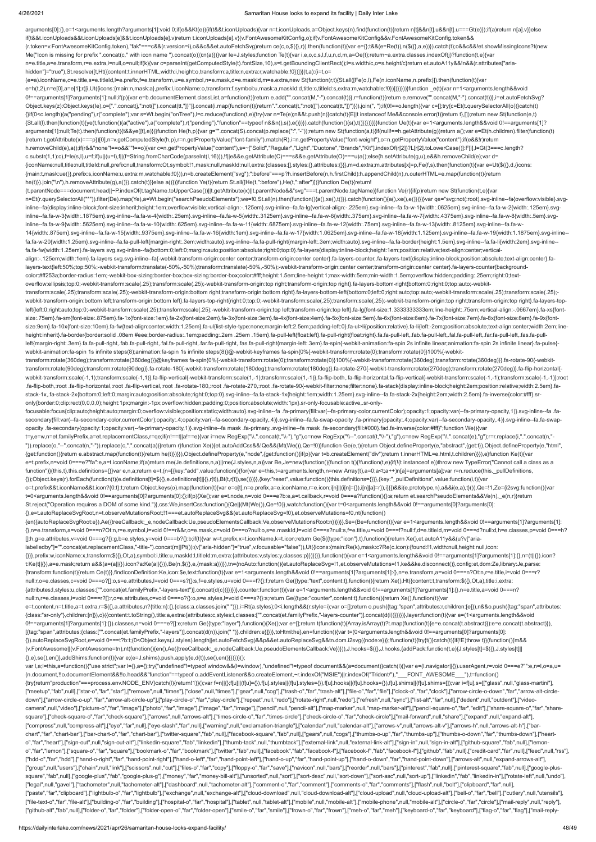## 4/26/2021 Samaritan House looks to expand its facility | Daily Inter Lake

arguments[0]:{},e=1<arguments.length?arguments[1]:void 0;if(e&&Kt(e)){if(t&&t.iconUploads){var n=t.iconUploads,a=Object.keys(n).find(function(t){return n[t]&&n[t].u&&n[t].u&&n[t].u===Gt(e)});if(a)return n[a].v}}else if(t&&t.iconUploads&&t.iconUploads[e]&&t.iconUploads[e].v)return t.iconUploads[e].v}(v.FontAwesomeKitConfig,o);if(v.FontAwesomeKitConfig&&v.FontAwesomeKitConfig.token&& (r.token=v.FontAwesomeKitConfig.token),"fak"===c&&(r.version=i),o&&c&&et.autoFetchSvg)return ce(c,o,\$({},r)).then(function(t){var e={};t&&(e=Re(t)),n(\$({},a,e))}).catch(t);o&&c&&!et.showMissingIcons?t(new Me("Icon is missing for prefix ".concat(c," with icon name ").concat(o))):n(a)})}var le=J.styles;function Te(t){var i,e,o,c,s,l,f,u,n,d,m,a=Oe(t);return~a.extra.classes.indexOf(j)?function(t,e){var n=e.title,a=e.transform,r=e.extra,i=null,o=null;if(k){var c=parseInt(getComputedStyle(t).fontSize,10),s=t.getBoundingClientRect();i=s.width/c,o=s.height/c}return et.autoA11y&&!n&&(r.attributes["ariahidden"]="true"),St.resolve([t,Ht({content:t.innerHTML,width:i,height:o,transform:a,title:n,extra:r,watchable:!0})])}(t,a):(i=t,o=

(e=a).iconName,c=e.title,s=e.titleId,l=e.prefix,f=e.transform,u=e.symbol,n=e.mask,d=e.maskId,m=e.extra,new St(function(r,t){St.all([Fe(o,l),Fe(n.iconName,n.prefix)]).then(function(t){var e=h(t,2),n=e[0],a=e[1];r([i,Ut({icons:{main:n,mask:a},prefix:l,iconName:o,transform:f,symbol:u,mask:a,maskId:d,title:c,titleId:s,extra:m,watchable:!0})])})}))}function \_e(t){var n=1<arguments.length&&void 0!==arguments[1]?arguments[1]:null;if(p){var e=b.documentElement.classList,a=function(t){return e.add("".concat(M,"-").concat(t))},r=function(t){return e.remove("".concat(M,"-").concat(t))},i=et.autoFetchSvg? Object.keys(z):Object.keys(le),o=[".".concat(j,":not([").concat(tt,"])")].concat(i.map(function(t){return".".concat(t,":not([").concat(tt,"])")}).join(", ");if(0!==o.length){var c=[];try{c=Et(t.querySelectorAll(o))}catch(t {}if(0<c.length){a("pending"),r("complete");var s=Wt.begin("onTree"),l=c.reduce(function(t,e){try{var n=Te(e);n&&t.push(n)}catch(t){E||t instanceof Me&&console.error(t)}return t},[]);return new St(function(e,t) {St.all(l).then(function(t){ye(t,function(){a("active"),a("complete"),r("pending"),"function"==typeof n&&n(),s(),e()})}).catch(function(){s(),t()})})}}}}function Ue(t){var e=1<arguments.length&&void 0!==arguments[1]? arguments[1]:null;Te(t).then(function(t){t&&ye([t],e)})}function He(h,p){var g="".concat(S).concat(p.replace(":","-"));return new St(function(a,t){if(null!==h.getAttribute(g))return a();var e=Et(h.children).filter(function {return t.getAttribute(x)===p})[0],n=v.getComputedStyle(h,p),r=n.getPropertyValue("font-family").match(R),i=n.getPropertyValue("font-weight"),o=n.getPropertyValue("content");if(e&&!r)return h.removeChild(e),a();if(r&&"none"!==o&&""!==o){var c=n.getPropertyValue("content"),s=~["Solid","Regular","Light","Duotone","Brands","Kit"].indexOf(r[2])?L[r[2].toLowerCase()]:F[i],l=Gt(3===c.length? c.substr(1,1):c),f=le(s,l),u=f;if(u||(u=l),f||(f=String.fromCharCode(parseInt(l,16))),!f||e&&e.getAttribute(C)===s&&e.getAttribute(O)===u)a();else{h.setAttribute(g,u),e&&h.removeChild(e);var d= {iconName:null,title:null,titleId:null,prefix:null,transform:Ot,symbol:!1,mask:null,maskId:null,extra:{classes:[],styles:{},attributes:{}}},m=d.extra;m.attributes[x]=p,Fe(f,s).then(function(t){var e=Ut(\$({},d,{icons: {main:t,mask:ue()},prefix:s,iconName:u,extra:m,watchable:!0})),n=b.createElement("svg");":before"===p?h.insertBefore(n,h.firstChild):h.appendChild(n),n.outerHTML=e.map(function(t){return he(t)}).join("\n"),h.removeAttribute(g),a()}).catch(t)}}else a()})}function Ye(t){return St.all([He(t,":before"),He(t,":after")])}function De(t){return!

transform:scale(.25);transform:scale(.25);-webkit-transform-origin:bottom right;transform-origin:bottom right}.fa-layers-bottom-left{bottom:0;left:0;right:auto;top:auto;-webkit-transform:scale(.25);transform:scale(.25); webkit-transform-origin:bottom left;transform-origin:bottom left}.fa-layers-top-right{right:0;top:0;-webkit-transform:scale(.25);transform:scale(.25);-webkit-transform-origin:top right;transform-origin:top right}.fa-layers left{left:0;right:auto;top:0;-webkit-transform:scale(.25);transform:scale(.25);-webkit-transform-origin:top left;transform-origin:top left}.fa-lg{font-size:1.33333333333333333339m;line-height:.75em;vertical-align:-.0667em} size:.75em}.fa-sm{font-size:.875em}.fa-1x{font-size:1em}.fa-2x{font-size:2em}.fa-3x{font-size:3em}.fa-4x{font-size:4em}.fa-5x{font-size:5em}.fa-6x{font-size:6em}.fa-6x{font-size:6em}.fa-6x{font-size:6em}.fa-8x{font-size:6e size:9em}.fa-10x{font-size:10em}.fa-fw{text-align:center;width:1.25em}.fa-ul{list-style-type:none;margin-left:2.5em;padding-left:0}.fa-ul>li{position:relative}.fa-li{left:-2em;position:absolute;text-align:center;width:2em; height:inherit).fa-border/border:solid .08em #eee;border-radius:.1em;padding:.2em .25em .15em}.fa-pull-left/float:left).fa-pull-right/float:right}.fa.fa-pull-left,.fab.fa-pull-left,.fab.fa-pull-left,.fal.fa-pull-left,.fan. left{margin-right:.3em}.fa.fa-pull-right,.fab.fa-pull-right,.fal.fa-pull-right,.far.fa-pull-right,.far.fa-pull-right,.far.fa-pull-right,.far.fa-pull-right,.far.fa-pull-right,.far.fa-pull-right,.far.fa-pull-right,.far.fa-pu webkit-animation:fa-spin 1s infinite steps(8);animation:fa-spin 1s infinite steps(8)}@-webkit-keyframes fa-spin{0%{-webkit-transform:rotate(0);transform:rotate(0)}100%{-webkit-

focusable:focus{clip:auto;height:auto;margin:0;overflow:visible;position:static;width:auto}.svg-inline--fa .fa-primary{fill:var(--fa-primary-color,currentColor);opacity:1;opacity:1-a-primary-opacity,1)}.svg-inline--fa .fasecondary{fill:var(--fa-secondary-color,currentColor);opacity:.4;opacity:var(--fa-secondary-opacity,.4)}.svg-inline--fa.fa-swap-opacity .fa-primary{opacity:.4;opacity:.4;opacity-rar-secondary-opacity,.4)}.svg-inline--fa.fa opacity .fa-secondary{opacity:1;opacity:var(--fa-primary-opacity,1)}.svg-inline--fa mask .fa-primary,.svg-inline--fa mask .fa-secondary{fill:#000}.fad.fa-inverse{color:#fff}";function We(){var

(t.parentNode===document.head||~P.indexOf(t.tagName.toUpperCase())||t.getAttribute(x)||t.parentNode&&"svg"===t.parentNode.tagName)}function Ve(r){if(p)return new St(function(t,e){var n=Et(r.querySelectorAll("\*")).filter(De).map(Ye),a=Wt.begin("searchPseudoElements");we=!0,St.all(n).then(function(){a(),xe(),t()}).catch(function(){a(),xe(),e()}}}}}var qe="svg:not(:root).svg-inline--fa{overflow:visible}.s inline--fa{display:inline-block;font-size:inherit;height:1em;overflow:visible;vertical-align:-.125em}.svg-inline--fa.fa-lg{vertical-align:-.225em}.svg-inline--fa.fa-w-1{width:.0625em}.svg-inline--fa.fa-w-2{width:.125em}.sv inline--fa.fa-w-3{width:.1875em}.svg-inline--fa.fa-w-4{width:.25em}.svg-inline--fa.fa-w-5{width:.3125em}.svg-inline--fa.fa-w-6{width:.3125em}.svg-inline--fa.fa-w-8{width:.4375em}.svg-inline--fa.fa-w-8{width:.5em}.svg-inlin inline--fa.fa-w-9{width:.5625em}.svg-inline--fa.fa-w-10{width:.625em}.svg-inline--fa.fa-w-11{width:.6875em}.svg-inline--fa.fa-w-12{width:.75em}.svg-inline--fa.fa-w-12{width:.75em}.svg-inline--fa.fa-w-13{width:.8125em}.svg-14{width:.875em}.svg-inline--fa.fa-w-15{width:.9375em}.svg-inline--fa.fa-w-16{width:1em}.svg-inline--fa.fa-w-17{width:1.0625em}.svg-inline--fa.fa-w-18{width:1.125em}.svg-inline--fa.fa-w-19{width:1.1875em}.svg-inline- fa.fa-w-20{width:1.25em}.svg-inline--fa.fa-pull-left{margin-right:.3em;width:auto}.svg-inline--fa.fa-pull-right{margin-left:.3em;width:auto}.svg-inline--fa.fa-border{height:1.5em}.svg-inline--fa.fa-li{width:2em}.svg-inline- fa.fa-fw{width:1.25em}.fa-layers svg.svg-inline--fa{bottom:0;left:0;margin:auto;position:absolute;right:0;top:0}.fa-layers{display:inline-block;height:1em;position:relative;text-align:center;verticalalign:-.125em;width:1em}.fa-layers svg.svg-inline--fa{-webkit-transform-origin:center center;transform-origin:center center}.fa-layers-counter,.fa-layers-text{display:inline-block;position:absolute;text-align:center}.falayers-text{left:50%;top:50%;-webkit-transform:translate(-50%,-50%);transform:translate(-50%,-50%);-webkit-transform-origin:center center;transform-origin:center center}.fa-layers-counter{backgroundcolor:#ff253a;border-radius:1em;-webkit-box-sizing:border-box;box-sizing:border-box;color:#fff;height:1.5em;line-height:1;max-width:5em;min-width:1.5em;overflow:hidden;padding:.25em;right:0;textoverflow:ellipsis;top:0;-webkit-transform:scale(.25);transform:scale(.25);-webkit-transform-origin:top right;transform-origin:top right}.fa-layers-bottom-right{bottom:0;right:0;top:auto;-webkit-

{}}},prefix:w,iconName:x,transform:\$({},Ot,a),symbol:i,title:u,maskId:l,titleId:m,extra:{attributes:v,styles:y,classes:p}})})}},function(t){var e=1<arguments.length&&void 0!==arguments[1]?arguments[1]:{},n=(t||{}).icon? t:Ke(t||{}),a=e.mask;return a&&(a=(a||{}).icon?a:Ke(a||{})),Be(n,\$({},e,{mask:a}))}),tn={noAuto:function(){et.autoReplaceSvg=!1,et.observeMutations=!1,ke&&ke.disconnect()},config:et,dom:Ze,library:Je,parse: {transform:function(t){return Ce(t)}},findIconDefinition:Ke,icon:\$e,text:function(t){var e=1<arguments.length&&void 0!==arguments[1]?arguments[1]:{},n=e.transform,a=void 0===n?Ot:n,r=e.title,i=void 0===r? null:r,o=e.classes,c=void 0===o?[]:o,s=e.attributes,l=void 0===s?{}:s,f=e.styles,u=void 0===f?{}:f;return Ge({type:"text",content:t},function(){return Xe(),Ht({content:t,transform:\$({},Ot,a),title:i,extra: {attributes:l,styles:u,classes:["".concat(et.familyPrefix,"-layers-text")].concat(d(c))}})})},counter:function(t){var e=1<arguments.length&&void 0!==arguments[1]?arguments[1]:{},n=e.title,a=void 0===n? null:n,r=e.classes,i=void 0===r?[]:r,o=e.attributes,c=void 0===o?{}:o,s=e.styles,l=void 0===s?{}:s;return Ge({type:"counter",content:t},function(){return Xe(),function(t){var e=t.content,n=t.title,a=t.extra,r=\$({},a.attributes,n?{title:n}:{},{class:a.classes.join(" "})},i=Rt(a.styles);0<i.length&&(r.style=i);var o=[];return o.push({tag:"span",attributes:r,children:[e]}),n&&o.push({tag:"span",at

transform:rotate(360deg);transform:rotate(360deg)}}@keyframes fa-spin{0%{-webkit-transform:rotate(0);transform:rotate(0)}100%{-webkit-transform:rotate(360deg);transform:rotate(360deg)}}.fa-rotate-90{-webkittransform:rotate(90deg);transform:rotate(90deg)}.fa-rotate-180{-webkit-transform:rotate(180deg);transform:rotate(180deg)}.fa-rotate-270{-webkit-transform:rotate(270deg);transform:rotate(270deg)}.fa-flip-horizontal{ webkit-transform:scale(-1,1);transform:scale(-1,1)}.fa-flip-vertical{-webkit-transform:scale(1,-1);transform:scale(1,-1)}.fa-flip-both,.fa-flip-both,da-flip-horizontal.fa-flip-vertical{-webkit-transform:scale(-1,-1)}:root .fa-flip-both,:root .fa-flip-horizontal,:root .fa-flip-vertical,:root .fa-rotate-180,:root .fa-rotate-270,:root .fa-rotate-90{-webkit-filter:none;filter:none}.fa-stack{display:inline-block;height:2em;position:relative;widt stack-1x,.fa-stack-2x{bottom:0;left:0;margin:auto;position:absolute;right:0;top:0}.svg-inline--fa.fa-stack-1x{height:1em;width:1.25em}.svg-inline--fa.fa-stack-2x{height:2em;width:2.5em}.fa-inverse{color:#fff}.sronly{border:0;clip:rect(0,0,0,0);height:1px;margin:-1px;overflow:hidden;padding:0;position:absolute;width:1px}.sr-only-focusable:active,.sr-only-

t=y,e=w,n=et.familyPrefix,a=et.replacementClass,r=qe;if(n!==t||a!==e){var i=new RegExp("\\.".concat(t,"\\-"),"g"),o=new RegExp("\\--".concat(t,"\\-"),"g"),c=new RegExp("\\.".concat(e),"g");r=r.replace(i,".".concat(n,"- ")).replace(o,"--".concat(n,"-")).replace(c,".".concat(a))}return r}function Xe(){et.autoAddCss&&!Qe&&(Mt(We()),Qe=!0)}function Ge(e,t){return Object.defineProperty(e,"abstract",{get:t}),Object.defineProperty(e,"html", {get:function(){return e.abstract.map(function(t){return he(t)})}}),Object.defineProperty(e,"node",{get:function(){if(p){var t=b.createElement("div");return t.innerHTML=e.html,t.children}}}),e}function Ke(t){var e=t.prefix,n=void 0===e?"fa":e,a=t.iconName;if(a)return me(Je.definitions,n,a)||me(J.styles,n,a)}var Be,Je=new(function(){function t(){!function(t,e){if(!(t instanceof e))throw new TypeError("Cannot call a class as a function")}(this,t),this.definitions={}}var e,n,a;return e=t,(n=[{key:"add",value:function(){for(var e=this,t=arguments.length,n=new Array(t),a=0;a<t;a++)n[a]=arguments[a];var r=n.reduce(this.\_pullDefinitions, {});Object.keys(r).forEach(function(t){e.definitions[t]=\$({},e.definitions[t]||{},r[t]),Bt(t,r[t]),se()})}},{key:"reset",value:function(){this.definitions={}}},{key:"\_pullDefinitions",value:function(i,t){var

o=t.prefix&&t.iconName&&t.icon?{0:t}:t;return Object.keys(o).map(function(t){var e=o[t],n=e.prefix,a=e.iconName,r=e.icon;i[n]||(i[n]={}),i[n][a]=r}),i}}])&&i(e.prototype,n),a&&i(e,a),t}()),Qe=!1,Ze={i2svg:function(){var t=0<arguments.length&&void 0!==arguments[0]?arguments[0]:{};if(p){Xe();var e=t.node,n=void 0===e?b:e,a=t.callback,r=void 0===a?function(){}:a;return et.searchPseudoElements&&Ve(n),\_e(n,r)}return St.reject("Operation requires a DOM of some kind.")},css:We,insertCss:function(){Qe||(Mt(We()),Qe=!0)},watch:function(){var t=0<arguments.length&&void 0!==arguments[0]?arguments[0]: {},e=t.autoReplaceSvgRoot,n=t.observeMutationsRoot;!1===et.autoReplaceSvg&&(et.autoReplaceSvg=!0),et.observeMutations=!0,nt(function()

{en({autoReplaceSvgRoot:e}),Ae({treeCallback:\_e,nodeCallback:Ue,pseudoElementsCallback:Ve,observeMutationsRoot:n})})}},\$e=(Be=function(t){var e=1<arguments.length&&void 0!==arguments[1]?arguments[1]: {},n=e.transform,a=void 0===n?Ot:n,r=e.symbol,i=void 0!==r&&r,o=e.mask,c=void 0===o?null:o,s=e.maskId,l=void 0===s?null:s,f=e.title,u=void 0===f?null:f,d=e.titleId,m=void 0===d?null:d,h=e.classes,p=void 0===h? []:h,g=e.attributes,v=void 0===g?{}:g,b=e.styles,y=void 0===b?{}:b;if(t){var w=t.prefix,x=t.iconName,k=t.icon;return Ge(\$({type:"icon"},t),function(){return Xe(),et.autoA11y&&(u?v["arialabelledby"]="".concat(et.replacementClass,"-title-").concat(m||Pt()):(v["aria-hidden"]="true",v.focusable="false")),Ut({icons:{main:Re(k),mask:c?Re(c.icon):{found:!1,width:null,height:null,icon:

{class:"sr-only"},children:[n]}),o}({content:t.toString(),title:a,extra:{attributes:c,styles:l,classes:["".concat(et.familyPrefix,"-layers-counter")].concat(d(i))}})})},layer:function(t){var e=(1<arguments.length&&void 0!==arguments[1]?arguments[1]:{}).classes,n=void 0===e?[]:e;return Ge({type:"layer"},function(){Xe();var e=[];return t(function(t){Array.isArray(t)?t.map(function(t){e=e.concat(t.abstract)}):e=e.concat(t.abstract)}), [{tag:"span",attributes:{class:["".concat(et.familyPrefix,"-layers")].concat(d(n)).join(" ")},children:e}]})},toHtml:he},en=function(){var t=(0<arguments.length&&void 0!==arguments[0]?arguments[0]:

{}).autoReplaceSvgRoot,e=void 0===t?b:t;(0<Object.keys(J.styles).length||et.autoFetchSvg)&&p&&et.autoReplaceSvg&&tn.dom.i2svg({node:e})};!function(t){try{t()}catch(t){if(!E)throw t}}(function(){m&& (v.FontAwesome||(v.FontAwesome=tn),nt(function(){en(),Ae({treeCallback:\_e,nodeCallback:Ue,pseudoElementsCallback:Ve})})),J.hooks=\$({},J.hooks,{addPack:function(t,e){J.styles[t]=\$({},J.styles[t]|| {},e),se(),en()},addShims:function(t){var e;(e=J.shims).push.apply(e,d(t)),se(),en()}})})}();

var l,a;l=this,a=function(){"use strict";var l={},a={};try{"undefined"!=typeof window&&(l=window),"undefined"!=typeof document&&(a=document)}catch(l){}var e=(l.navigator||{}).userAgent,r=void 0===e?"":e,n=l,o=a,u= (n.document,!!o.documentElement&&!!o.head&&"function"==typeof o.addEventListener&&o.createElement,~r.indexOf("MSIE")||r.indexOf("Trident/"),"\_\_\_FONT\_AWESOME\_\_\_"),t=function() {try{return"production"===process.env.NODE\_ENV}catch(l){return!1}}();var f=n||{};f[u]||(f[u]={}),f[u].styles||(f[u].styles={}),f[u].hooks||(f[u].hooks={}),f[u].shims||(f[u].shims=[]);var i=f[u],s=[["glass",null,"glass-mart ["meetup","fab",null],["star-o","far","star"],["remove",null,"times"],["close",null,"times"],["gear",null,"toog"],["trash-o","far","tarh-alt"],["file-o","far","falr","far","clock-o","far","clock"],["arrow-circle-o-down","f down"],["arrow-circle-o-up","far","arrow-alt-circle-up"],["play-circle-o","far","play-circle"],["repeat",null,"redo"],["rotate-right",null,"redo"],["refresh",null,"sync"],["list-alt","far","far","farl","farl","wideocamera",null,"video"],["picture-o","far","image"],["photo","far","image"],["image","far","image"],["pencil",null,"pencil-alt"],["map-marker",null,"map-marker-alt"],["pencil-square-o","far","edit"],["share-square-o","far"," square"],["check-square-o","far","check-square"],["arrows",null,"arrows-alt"],["times-circle-o","far","times-circle"],["check-circle-o","far","check-circle-o","far","check-circle-o","far","check-circle-o","far","check-circ ["compress",null,"compress-alt"],["eye","far",null],["eye-slash","far",null],["warning",null,"exclamation-triangle"],["calendar",null,"calendar-alt"],["arrows-v",null,"arrows-alt-v"],["arrows-h",null,"arrows-alt-h"],["barchart","far","chart-bar"],["bar-chart-o","far","chart-bar"],["twitter-square","fab",null],["facebook-square","fab",null],["gears",null,"cogs"],["thumbs-o-up","far","thumbs-up"],["thumbs-o-down","far","thumbs-down"],["hearto","far","heart"],["sign-out",null,"sign-out-alt"],["linkedin-square","fab","linkedin"],["thumb-tack",null,"thumbtack"],["external-link",null,"external-link-alt"],["sign-in",null,"sign-in-alt"],["github-square","fab",null] o","far","lemon"],["square-o","far","square"],["bookmark-o","far","bookmark"],["twitter","fab",null],["facebook","fab","facebook-f"],["facebook-f","fab","fab","fab","fab","fab",mull],["credit-card","far",null],["feed",null ["hdd-o","far","hdd"],["hand-o-right","far","hand-point-right"],["hand-o-left","far","hand-point-left"],["hand-o-up","far","hand-point-up"],["hand-o-down","far","hand-point-down"],["arrows-alt",null,"expand-arrows-alt"], ["group",null,"users"],["chain",null,"link"],["scissors",null,"cut"],["files-o","far","copy"],["floppy-o","far","save"],["navicon",null,"bars"],["reorder",null,"bars"],["pinterest","fab",null],["pinterest-square","fab",nul square","fab",null],["google-plus","fab","google-plus-g"],["money","far","money-bill-alt"],["unsorted",null,"sort-desc",null,"sort-down"],["sort-asc",null,"sort-up"],["inkedin","fab","linkedin-in"],["rotate-left",null,"und ["legal",null,"gavel"],["tachometer",null,"tachometer-alt"],["dashboard",null,"tachometer-alt"],["comment-o","far","comment"],["comments-o","far","comments"],["flash",null,"bolt"],["clipboard","far",null], ["paste","far","clipboard"],["lightbulb-o","far","lightbulb"],["exchange",null,"exchange-alt"],["cloud-download",null,"cloud-download-alt"],["cloud-upload",null,"cloud-upload-alt"],["bell-o","far","bell"],["cutlery",null," ["file-text-o","far","file-alt"],["building-o","far","building"],["hospital-o","far","hospital"],["tablet",null,"tablet-alt"],["mobile-alt"],["mobile-phone",null,"mobile-alt"],["circle-o","far","circle"],["mail-reply",null ["github-alt","fab",null],["folder-o","far","folder"],["folder-open-o","far","folder-open"],["smile-o","far","smile"],["frown-o","far","frown"],["meh-o","far","meh"],["keyboard-o","far","keyboard"],["flag-o","far","flag"],